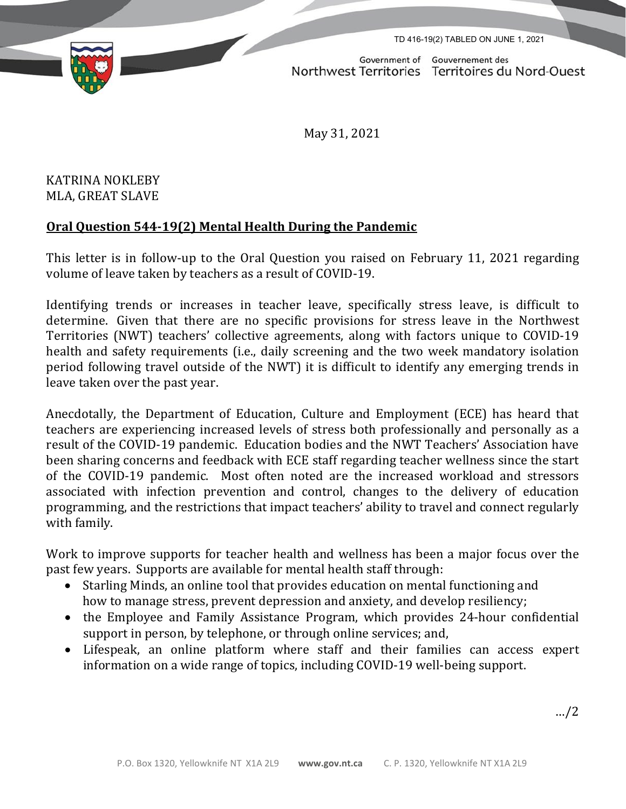TD 416-19(2) TABLED ON JUNE 1, 2021



Government of Gouvernement des Northwest Territories Territoires du Nord-Ouest

May 31, 2021

KATRINA NOKLEBY MLA, GREAT SLAVE

## **Oral Question 544-19(2) Mental Health During the Pandemic**

This letter is in follow-up to the Oral Question you raised on February 11, 2021 regarding volume of leave taken by teachers as a result of COVID-19.

Identifying trends or increases in teacher leave, specifically stress leave, is difficult to determine. Given that there are no specific provisions for stress leave in the Northwest Territories (NWT) teachers' collective agreements, along with factors unique to COVID-19 health and safety requirements (i.e., daily screening and the two week mandatory isolation period following travel outside of the NWT) it is difficult to identify any emerging trends in leave taken over the past year.

Anecdotally, the Department of Education, Culture and Employment (ECE) has heard that teachers are experiencing increased levels of stress both professionally and personally as a result of the COVID-19 pandemic. Education bodies and the NWT Teachers' Association have been sharing concerns and feedback with ECE staff regarding teacher wellness since the start of the COVID-19 pandemic. Most often noted are the increased workload and stressors associated with infection prevention and control, changes to the delivery of education programming, and the restrictions that impact teachers' ability to travel and connect regularly with family.

Work to improve supports for teacher health and wellness has been a major focus over the past few years. Supports are available for mental health staff through:

- Starling Minds, an online tool that provides education on mental functioning and how to manage stress, prevent depression and anxiety, and develop resiliency;
- the Employee and Family Assistance Program, which provides 24-hour confidential support in person, by telephone, or through online services; and,
- Lifespeak, an online platform where staff and their families can access expert information on a wide range of topics, including COVID-19 well-being support.

…/2